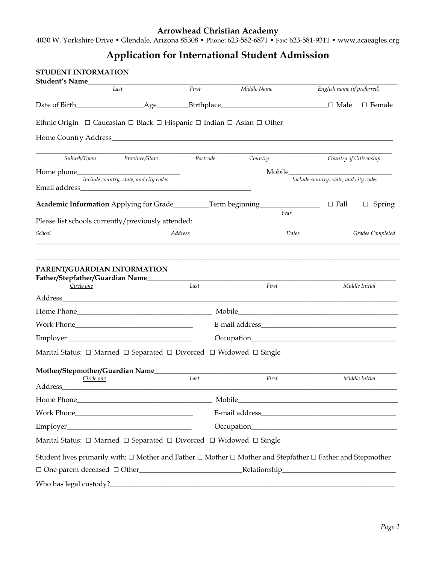4030 W. Yorkshire Drive • Glendale, Arizona 85308 • Phone: 623-582-6871 • Fax: 623-581-9311 • www.acaeagles.org

# **Application for International Student Admission**

|                       | Last                                                                                                | First          | Middle Name | English name (if preferred)                                                                                                                                                                                                                      |
|-----------------------|-----------------------------------------------------------------------------------------------------|----------------|-------------|--------------------------------------------------------------------------------------------------------------------------------------------------------------------------------------------------------------------------------------------------|
|                       |                                                                                                     |                |             | $\Box$ Male<br>$\Box$ Female                                                                                                                                                                                                                     |
|                       | Ethnic Origin $\Box$ Caucasian $\Box$ Black $\Box$ Hispanic $\Box$ Indian $\Box$ Asian $\Box$ Other |                |             |                                                                                                                                                                                                                                                  |
|                       |                                                                                                     |                |             |                                                                                                                                                                                                                                                  |
|                       | Suburb/Town Province/State                                                                          | Postcode       | Country     | Country of Citizenship                                                                                                                                                                                                                           |
|                       |                                                                                                     |                |             |                                                                                                                                                                                                                                                  |
|                       | Include country, state, and city codes                                                              |                |             | Include country, state, and city codes                                                                                                                                                                                                           |
|                       |                                                                                                     |                |             | $\Box$ Fall<br>$\Box$ Spring                                                                                                                                                                                                                     |
|                       |                                                                                                     |                | Year        |                                                                                                                                                                                                                                                  |
|                       | Please list schools currently/previously attended:                                                  |                |             |                                                                                                                                                                                                                                                  |
| School                |                                                                                                     | <b>Address</b> | Dates       | Grades Completed                                                                                                                                                                                                                                 |
| Circle one            | Father/Stepfather/Guardian Name_______                                                              | Last           | First       | Middle Initial<br>Mobile Mobile and the state of the state of the state of the state of the state of the state of the state of the state of the state of the state of the state of the state of the state of the state of the state of the state |
|                       |                                                                                                     |                |             |                                                                                                                                                                                                                                                  |
|                       |                                                                                                     |                |             |                                                                                                                                                                                                                                                  |
|                       | Marital Status: □ Married □ Separated □ Divorced □ Widowed □ Single                                 |                |             |                                                                                                                                                                                                                                                  |
|                       | Mother/Stepmother/Guardian Name_______                                                              |                |             |                                                                                                                                                                                                                                                  |
| Circle one<br>Address |                                                                                                     | Last           | First       | Middle Initial                                                                                                                                                                                                                                   |
|                       |                                                                                                     |                |             | Mobile Mobile and the state of the state of the state of the state of the state of the state of the state of the state of the state of the state of the state of the state of the state of the state of the state of the state                   |
|                       |                                                                                                     |                |             |                                                                                                                                                                                                                                                  |
|                       |                                                                                                     |                |             |                                                                                                                                                                                                                                                  |
|                       | Marital Status: □ Married □ Separated □ Divorced □ Widowed □ Single                                 |                |             |                                                                                                                                                                                                                                                  |
|                       |                                                                                                     |                |             | Student lives primarily with: $\Box$ Mother and Father $\Box$ Mother $\Box$ Mother and Stepfather $\Box$ Father and Stepmother                                                                                                                   |
|                       |                                                                                                     |                |             |                                                                                                                                                                                                                                                  |
|                       |                                                                                                     |                |             |                                                                                                                                                                                                                                                  |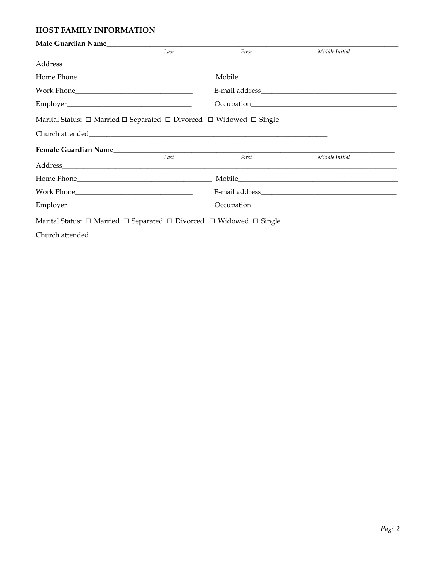### HOST FAMILY INFORMATION

|                                                                                                                                                                                                                                | Last | First | Middle Initial                                                                                                                                                                                                                |  |
|--------------------------------------------------------------------------------------------------------------------------------------------------------------------------------------------------------------------------------|------|-------|-------------------------------------------------------------------------------------------------------------------------------------------------------------------------------------------------------------------------------|--|
|                                                                                                                                                                                                                                |      |       |                                                                                                                                                                                                                               |  |
|                                                                                                                                                                                                                                |      |       | Mobile and the second state of the second state of the second state of the second state of the second state of the second state of the second state of the second state of the second state of the second state of the second |  |
|                                                                                                                                                                                                                                |      |       |                                                                                                                                                                                                                               |  |
|                                                                                                                                                                                                                                |      |       |                                                                                                                                                                                                                               |  |
| Marital Status: $\Box$ Married $\Box$ Separated $\Box$ Divorced $\Box$ Widowed $\Box$ Single                                                                                                                                   |      |       |                                                                                                                                                                                                                               |  |
|                                                                                                                                                                                                                                |      |       |                                                                                                                                                                                                                               |  |
|                                                                                                                                                                                                                                |      |       |                                                                                                                                                                                                                               |  |
| Address_ the contract of the contract of the contract of the contract of the contract of the contract of the contract of the contract of the contract of the contract of the contract of the contract of the contract of the c | Last | First | Middle Initial                                                                                                                                                                                                                |  |
| Home Phone Contract Contract Contract Contract Contract Contract Contract Contract Contract Contract Contract Contract Contract Contract Contract Contract Contract Contract Contract Contract Contract Contract Contract Cont |      |       |                                                                                                                                                                                                                               |  |
|                                                                                                                                                                                                                                |      |       |                                                                                                                                                                                                                               |  |
|                                                                                                                                                                                                                                |      |       |                                                                                                                                                                                                                               |  |
| Marital Status: $\Box$ Married $\Box$ Separated $\Box$ Divorced $\Box$ Widowed $\Box$ Single                                                                                                                                   |      |       |                                                                                                                                                                                                                               |  |
|                                                                                                                                                                                                                                |      |       |                                                                                                                                                                                                                               |  |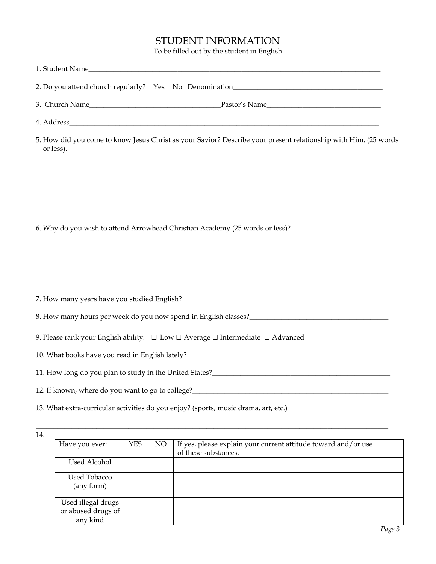# STUDENT INFORMATION

To be filled out by the student in English

| 1. Student Name<br><u> 1989 - John Stone, Amerikaansk politiker († 1989)</u> |               |
|------------------------------------------------------------------------------|---------------|
|                                                                              |               |
| 3. Church Name                                                               | Pastor's Name |
| 4. Address                                                                   |               |

5. How did you come to know Jesus Christ as your Savior? Describe your present relationship with Him. (25 words or less).

6. Why do you wish to attend Arrowhead Christian Academy (25 words or less)?

| 7. How many years have you studied English?                                                                                                                                                                                           |  |  |  |  |  |
|---------------------------------------------------------------------------------------------------------------------------------------------------------------------------------------------------------------------------------------|--|--|--|--|--|
| 8. How many hours per week do you now spend in English classes?                                                                                                                                                                       |  |  |  |  |  |
| 9. Please rank your English ability: $\Box$ Low $\Box$ Average $\Box$ Intermediate $\Box$ Advanced                                                                                                                                    |  |  |  |  |  |
| 10. What books have you read in English lately?<br><u>Letting</u> material contract the set of the set of the set of the set of the set of the set of the set of the set of the set of the set of the set of the set of the set of th |  |  |  |  |  |
| 11. How long do you plan to study in the United States?                                                                                                                                                                               |  |  |  |  |  |
| 12. If known, where do you want to go to college?                                                                                                                                                                                     |  |  |  |  |  |
| 13. What extra-curricular activities do you enjoy? (sports, music drama, art, etc.) ________________                                                                                                                                  |  |  |  |  |  |

\_\_\_\_\_\_\_\_\_\_\_\_\_\_\_\_\_\_\_\_\_\_\_\_\_\_\_\_\_\_\_\_\_\_\_\_\_\_\_\_\_\_\_\_\_\_\_\_\_\_\_\_\_\_\_\_\_\_\_\_\_\_\_\_\_\_\_\_\_\_\_\_\_\_\_\_\_\_\_\_\_\_\_\_\_\_\_\_\_\_\_\_\_\_\_\_\_\_\_

 $\overline{14}$ .

| Have you ever:                                       | <b>YES</b> | NO <sub>1</sub> | If yes, please explain your current attitude toward and/or use<br>of these substances. |
|------------------------------------------------------|------------|-----------------|----------------------------------------------------------------------------------------|
| Used Alcohol                                         |            |                 |                                                                                        |
| <b>Used Tobacco</b><br>(any form)                    |            |                 |                                                                                        |
| Used illegal drugs<br>or abused drugs of<br>any kind |            |                 |                                                                                        |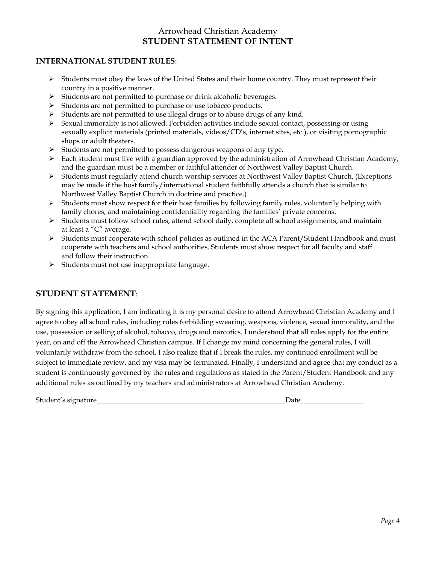# Arrowhead Christian Academy **STUDENT STATEMENT OF INTENT**

#### **INTERNATIONAL STUDENT RULES**:

- $\triangleright$  Students must obey the laws of the United States and their home country. They must represent their country in a positive manner.
- $\triangleright$  Students are not permitted to purchase or drink alcoholic beverages.
- $\triangleright$  Students are not permitted to purchase or use tobacco products.
- $\triangleright$  Students are not permitted to use illegal drugs or to abuse drugs of any kind.
- $\triangleright$  Sexual immorality is not allowed. Forbidden activities include sexual contact, possessing or using sexually explicit materials (printed materials, videos/CD's, internet sites, etc.), or visiting pornographic shops or adult theaters.
- $\triangleright$  Students are not permitted to possess dangerous weapons of any type.
- Each student must live with a guardian approved by the administration of Arrowhead Christian Academy, and the guardian must be a member or faithful attender of Northwest Valley Baptist Church.
- Students must regularly attend church worship services at Northwest Valley Baptist Church. (Exceptions may be made if the host family/international student faithfully attends a church that is similar to Northwest Valley Baptist Church in doctrine and practice.)
- $\triangleright$  Students must show respect for their host families by following family rules, voluntarily helping with family chores, and maintaining confidentiality regarding the families' private concerns.
- $\triangleright$  Students must follow school rules, attend school daily, complete all school assignments, and maintain at least a "C" average.
- $\triangleright$  Students must cooperate with school policies as outlined in the ACA Parent/Student Handbook and must cooperate with teachers and school authorities. Students must show respect for all faculty and staff and follow their instruction.
- $\triangleright$  Students must not use inappropriate language.

### **STUDENT STATEMENT**:

By signing this application, I am indicating it is my personal desire to attend Arrowhead Christian Academy and I agree to obey all school rules, including rules forbidding swearing, weapons, violence, sexual immorality, and the use, possession or selling of alcohol, tobacco, drugs and narcotics. I understand that all rules apply for the entire year, on and off the Arrowhead Christian campus. If I change my mind concerning the general rules, I will voluntarily withdraw from the school. I also realize that if I break the rules, my continued enrollment will be subject to immediate review, and my visa may be terminated. Finally, I understand and agree that my conduct as a student is continuously governed by the rules and regulations as stated in the Parent/Student Handbook and any additional rules as outlined by my teachers and administrators at Arrowhead Christian Academy.

Student's signature that the set of the set of the set of the set of the set of the set of the set of the set o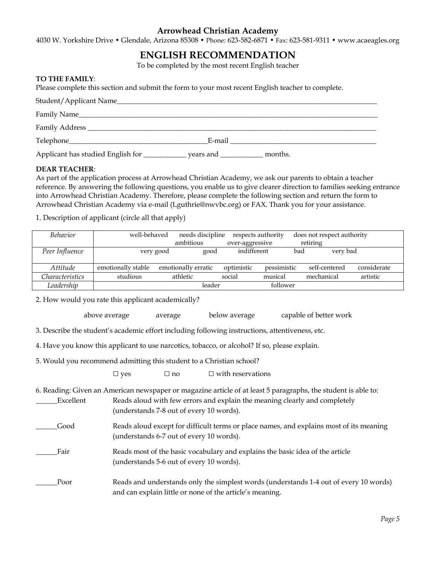4030 W. Yorkshire Drive • Glendale, Arizona 85308 • Phone: 623-582-6871 • Fax: 623-581-9311 • www.acaeagles.org

# **ENGLISH RECOMMENDATION**

To be completed by the most recent English teacher

#### **TO THE FAMILY**:

Please complete this section and submit the form to your most recent English teacher to complete.

| Student/Applicant Name_           |                |         |  |
|-----------------------------------|----------------|---------|--|
| Family Name_                      |                |         |  |
|                                   |                |         |  |
|                                   | E-mail         |         |  |
| Applicant has studied English for | years and ____ | months. |  |

#### **DEAR TEACHER**:

As part of the application process at Arrowhead Christian Academy, we ask our parents to obtain a teacher reference. By answering the following questions, you enable us to give clearer direction to families seeking entrance into Arrowhead Christian Academy. Therefore, please complete the following section and return the form to Arrowhead Christian Academy via e-mail (Lguthrie@nwvbc.org) or FAX. Thank you for your assistance.

1. Description of applicant (circle all that apply)

| <i>Behavior</i>        | well-behaved       |                     | needs discipline |                 | respects authority |            | does not respect authority |             |
|------------------------|--------------------|---------------------|------------------|-----------------|--------------------|------------|----------------------------|-------------|
|                        |                    |                     | ambitious        | over-aggressive |                    | retiring   |                            |             |
| Peer Influence         | very good          |                     | good             | indifferent     |                    | bad        | very bad                   |             |
| Attitude               | emotionally stable | emotionally erratic |                  | optimistic      | pessimistic        |            | self-centered              | considerate |
| <i>Characteristics</i> | studious           | athletic            |                  | social          | musical            | mechanical |                            | artistic    |
| Leadership             |                    |                     | leader           |                 | follower           |            |                            |             |

2. How would you rate this applicant academically?

above average average below average capable of better work

3. Describe the student's academic effort including following instructions, attentiveness, etc.

4. Have you know this applicant to use narcotics, tobacco, or alcohol? If so, please explain.

5. Would you recommend admitting this student to a Christian school?

 $\square$  yes  $\square$  no  $\square$  with reservations

6. Reading: Given an American newspaper or magazine article of at least 5 paragraphs, the student is able to: \_\_\_\_\_\_Excellent Reads aloud with few errors and explain the meaning clearly and completely

|      | (understands 7-8 out of every 10 words).                                                                                            |
|------|-------------------------------------------------------------------------------------------------------------------------------------|
| Good | Reads aloud except for difficult terms or place names, and explains most of its meaning<br>(understands 6-7 out of every 10 words). |
| Fair | Reads most of the basic vocabulary and explains the basic idea of the article<br>(understands 5-6 out of every 10 words).           |
|      |                                                                                                                                     |

\_\_\_\_\_\_Poor Reads and understands only the simplest words (understands 1-4 out of every 10 words) and can explain little or none of the article's meaning.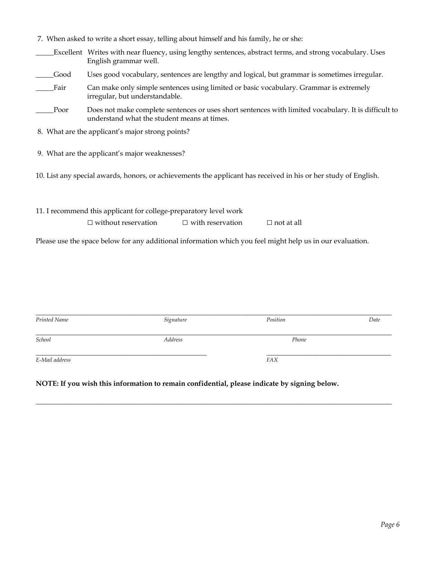|      | 7. When asked to write a short essay, telling about himself and his family, he or she:                                                                           |  |  |  |  |  |  |
|------|------------------------------------------------------------------------------------------------------------------------------------------------------------------|--|--|--|--|--|--|
|      | Excellent Writes with near fluency, using lengthy sentences, abstract terms, and strong vocabulary. Uses<br>English grammar well.                                |  |  |  |  |  |  |
| Good | Uses good vocabulary, sentences are lengthy and logical, but grammar is sometimes irregular.                                                                     |  |  |  |  |  |  |
| Fair | Can make only simple sentences using limited or basic vocabulary. Grammar is extremely<br>irregular, but understandable.                                         |  |  |  |  |  |  |
| Poor | Does not make complete sentences or uses short sentences with limited vocabulary. It is difficult to<br>understand what the student means at times.              |  |  |  |  |  |  |
|      | 8. What are the applicant's major strong points?                                                                                                                 |  |  |  |  |  |  |
|      | 9. What are the applicant's major weaknesses?<br>10. List any special awards, honors, or achievements the applicant has received in his or her study of English. |  |  |  |  |  |  |
|      | 11. I recommend this applicant for college-preparatory level work                                                                                                |  |  |  |  |  |  |
|      | $\Box$ without reservation<br>$\Box$ with reservation<br>$\Box$ not at all                                                                                       |  |  |  |  |  |  |
|      | Please use the space below for any additional information which you feel might help us in our evaluation.                                                        |  |  |  |  |  |  |

| Printed Name   | Signature | Position   | Date |
|----------------|-----------|------------|------|
| School         | Address   | Phone      |      |
| E-Mail address |           | <b>FAX</b> |      |

\_\_\_\_\_\_\_\_\_\_\_\_\_\_\_\_\_\_\_\_\_\_\_\_\_\_\_\_\_\_\_\_\_\_\_\_\_\_\_\_\_\_\_\_\_\_\_\_\_\_\_\_\_\_\_\_\_\_\_\_\_\_\_\_\_\_\_\_\_\_\_\_\_\_\_\_\_\_\_\_\_\_\_\_\_\_\_\_\_\_\_\_\_\_\_\_\_\_\_\_

**NOTE: If you wish this information to remain confidential, please indicate by signing below.**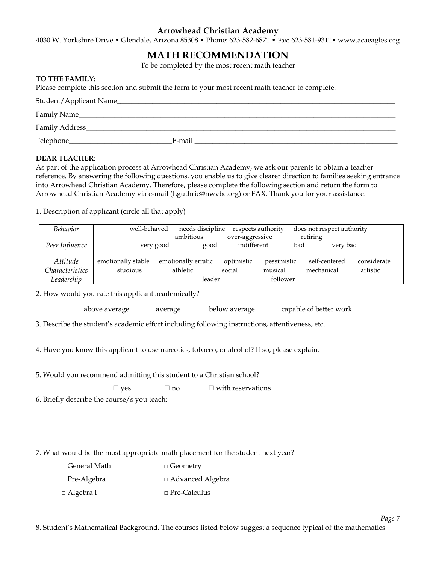4030 W. Yorkshire Drive • Glendale, Arizona 85308 • Phone: 623-582-6871 • Fax: 623-581-9311• www.acaeagles.org

# **MATH RECOMMENDATION**

To be completed by the most recent math teacher

#### **TO THE FAMILY**:

Please complete this section and submit the form to your most recent math teacher to complete.

| Student/Applicant Name_____________________ |        |
|---------------------------------------------|--------|
| Family Name                                 |        |
| Family Address_                             |        |
| Telephone_                                  | E-mail |

#### **DEAR TEACHER**:

As part of the application process at Arrowhead Christian Academy, we ask our parents to obtain a teacher reference. By answering the following questions, you enable us to give clearer direction to families seeking entrance into Arrowhead Christian Academy. Therefore, please complete the following section and return the form to Arrowhead Christian Academy via e-mail (Lguthrie@nwvbc.org) or FAX. Thank you for your assistance.

1. Description of applicant (circle all that apply)

| <b>Behavior</b> | well-behaved       |                     | needs discipline |                 | respects authority | does not respect authority |               |             |
|-----------------|--------------------|---------------------|------------------|-----------------|--------------------|----------------------------|---------------|-------------|
|                 |                    | ambitious           |                  | over-aggressive |                    | retiring                   |               |             |
| Peer Influence  | very good          |                     | good             | indifferent     |                    | bad                        | very bad      |             |
|                 |                    |                     |                  |                 |                    |                            |               |             |
| Attitude        | emotionally stable | emotionally erratic |                  | optimistic      | pessimistic        |                            | self-centered | considerate |
| Characteristics | studious           | athletic            |                  | social          | musical            |                            | mechanical    | artistic    |
| Leadership      |                    |                     | leader           |                 | follower           |                            |               |             |

2. How would you rate this applicant academically?

| above average | average | below average | capable of better work |
|---------------|---------|---------------|------------------------|
|               |         |               |                        |

3. Describe the student's academic effort including following instructions, attentiveness, etc.

4. Have you know this applicant to use narcotics, tobacco, or alcohol? If so, please explain.

5. Would you recommend admitting this student to a Christian school?

 $\square$  yes  $\square$  no  $\square$  with reservations

6. Briefly describe the course/s you teach:

7. What would be the most appropriate math placement for the student next year?

- □ General Math □ Geometry
- □ Pre-Algebra □ Advanced Algebra
- □ Algebra I □ Pre-Calculus

8. Student's Mathematical Background. The courses listed below suggest a sequence typical of the mathematics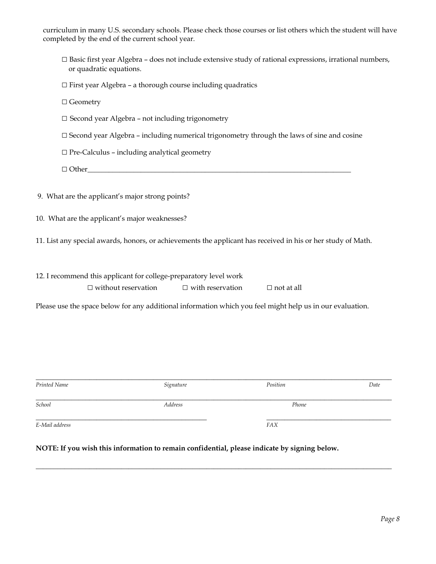curriculum in many U.S. secondary schools. Please check those courses or list others which the student will have completed by the end of the current school year.

- $\square$  Basic first year Algebra does not include extensive study of rational expressions, irrational numbers, or quadratic equations.
- $\square$  First year Algebra a thorough course including quadratics
- □ Geometry
- $\square$  Second year Algebra not including trigonometry
- $\square$  Second year Algebra including numerical trigonometry through the laws of sine and cosine
- □ Pre-Calculus including analytical geometry

□ Other\_\_\_\_\_\_\_\_\_\_\_\_\_\_\_\_\_\_\_\_\_\_\_\_\_\_\_\_\_\_\_\_\_\_\_\_\_\_\_\_\_\_\_\_\_\_\_\_\_\_\_\_\_\_\_\_\_\_\_\_\_\_\_\_\_\_\_\_\_\_\_\_\_\_

- 9. What are the applicant's major strong points?
- 10. What are the applicant's major weaknesses?

11. List any special awards, honors, or achievements the applicant has received in his or her study of Math.

#### 12. I recommend this applicant for college-preparatory level work

| $\Box$ without reservation | $\Box$ with reservation | $\Box$ not at all |
|----------------------------|-------------------------|-------------------|
|                            |                         |                   |

Please use the space below for any additional information which you feel might help us in our evaluation.

| Printed Name   | Signature | Position   | Date |
|----------------|-----------|------------|------|
| School         | Address   | Phone      |      |
| E-Mail address |           | <b>FAX</b> |      |

\_\_\_\_\_\_\_\_\_\_\_\_\_\_\_\_\_\_\_\_\_\_\_\_\_\_\_\_\_\_\_\_\_\_\_\_\_\_\_\_\_\_\_\_\_\_\_\_\_\_\_\_\_\_\_\_\_\_\_\_\_\_\_\_\_\_\_\_\_\_\_\_\_\_\_\_\_\_\_\_\_\_\_\_\_\_\_\_\_\_\_\_\_\_\_\_\_\_\_\_

**NOTE: If you wish this information to remain confidential, please indicate by signing below.**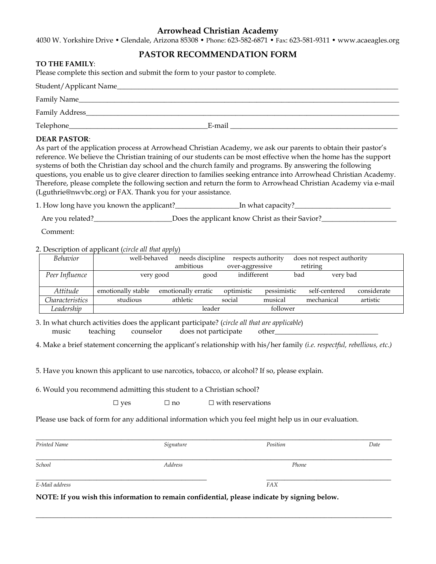4030 W. Yorkshire Drive • Glendale, Arizona 85308 • Phone: 623-582-6871 • Fax: 623-581-9311 • www.acaeagles.org

#### **PASTOR RECOMMENDATION FORM**

#### **TO THE FAMILY**:

Please complete this section and submit the form to your pastor to complete*.* 

| Student/Applicant Name_ |        |
|-------------------------|--------|
| Family Name_            |        |
| Family Address_         |        |
| Telephone_              | E-mail |

#### **DEAR PASTOR**:

As part of the application process at Arrowhead Christian Academy, we ask our parents to obtain their pastor's reference. We believe the Christian training of our students can be most effective when the home has the support systems of both the Christian day school and the church family and programs. By answering the following questions, you enable us to give clearer direction to families seeking entrance into Arrowhead Christian Academy. Therefore, please complete the following section and return the form to Arrowhead Christian Academy via e-mail (Lguthrie@nwvbc.org) or FAX. Thank you for your assistance*.* 

1. How long have you known the applicant?\_\_\_\_\_\_\_\_\_\_\_\_\_\_\_\_\_\_In what capacity?\_\_\_\_\_\_\_\_\_\_\_\_\_\_\_\_\_\_\_\_\_\_\_\_\_\_\_

Are you related?\_\_\_\_\_\_\_\_\_\_\_\_\_\_\_\_\_\_\_\_\_\_\_\_\_\_\_Does the applicant know Christ as their Savior?\_\_\_\_\_\_\_\_\_\_\_\_\_\_\_\_\_\_\_\_

Comment:

2. Description of applicant (*circle all that apply*)

| <b>Behavior</b> | well-behaved       |                     | needs discipline |                 | respects authority |          | does not respect authority |             |
|-----------------|--------------------|---------------------|------------------|-----------------|--------------------|----------|----------------------------|-------------|
|                 |                    | ambitious           |                  | over-aggressive |                    | retiring |                            |             |
| Peer Influence  | very good          |                     | good             | indifferent     |                    | bad      | very bad                   |             |
| Attitude        | emotionally stable | emotionally erratic |                  | optimistic      | pessimistic        |          | self-centered              | considerate |
| Characteristics | studious           | athletic            |                  | social          | musical            |          | mechanical                 | artistic    |
| Leadership      |                    |                     | leader           |                 | follower           |          |                            |             |

3. In what church activities does the applicant participate? (*circle all that are applicable*) music teaching counselor does not participate other\_\_\_\_\_\_\_\_\_\_\_\_\_\_\_\_\_\_\_\_\_\_\_\_\_\_\_\_\_

4. Make a brief statement concerning the applicant's relationship with his/her family *(i.e. respectful, rebellious, etc.)* 

5. Have you known this applicant to use narcotics, tobacco, or alcohol? If so, please explain.

6. Would you recommend admitting this student to a Christian school?

| $\sqcup$ ves | $\sqcup$ no | $\Box$ with reservations |
|--------------|-------------|--------------------------|
|              |             |                          |

Please use back of form for any additional information which you feel might help us in our evaluation.

| Printed Name   | Signature      | Position   | Date |
|----------------|----------------|------------|------|
| School         | <b>Address</b> | Phone      |      |
| E-Mail address |                | <b>FAX</b> |      |

\_\_\_\_\_\_\_\_\_\_\_\_\_\_\_\_\_\_\_\_\_\_\_\_\_\_\_\_\_\_\_\_\_\_\_\_\_\_\_\_\_\_\_\_\_\_\_\_\_\_\_\_\_\_\_\_\_\_\_\_\_\_\_\_\_\_\_\_\_\_\_\_\_\_\_\_\_\_\_\_\_\_\_\_\_\_\_\_\_\_\_\_\_\_\_\_\_\_\_\_

**NOTE: If you wish this information to remain confidential, please indicate by signing below.**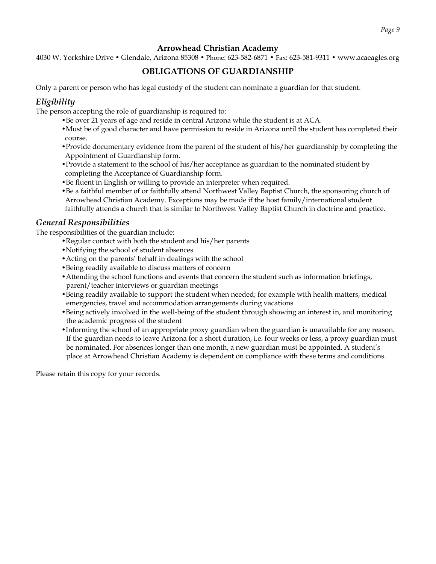4030 W. Yorkshire Drive • Glendale, Arizona 85308 • Phone: 623-582-6871 • Fax: 623-581-9311 • www.acaeagles.org

### **OBLIGATIONS OF GUARDIANSHIP**

Only a parent or person who has legal custody of the student can nominate a guardian for that student.

### *Eligibility*

The person accepting the role of guardianship is required to:

- •Be over 21 years of age and reside in central Arizona while the student is at ACA.
- •Must be of good character and have permission to reside in Arizona until the student has completed their course.
- •Provide documentary evidence from the parent of the student of his/her guardianship by completing the Appointment of Guardianship form.
- •Provide a statement to the school of his/her acceptance as guardian to the nominated student by completing the Acceptance of Guardianship form.
- •Be fluent in English or willing to provide an interpreter when required.
- •Be a faithful member of or faithfully attend Northwest Valley Baptist Church, the sponsoring church of Arrowhead Christian Academy. Exceptions may be made if the host family/international student faithfully attends a church that is similar to Northwest Valley Baptist Church in doctrine and practice.

#### *General Responsibilities*

The responsibilities of the guardian include:

- •Regular contact with both the student and his/her parents
- •Notifying the school of student absences
- •Acting on the parents' behalf in dealings with the school
- •Being readily available to discuss matters of concern
- •Attending the school functions and events that concern the student such as information briefings, parent/teacher interviews or guardian meetings
- •Being readily available to support the student when needed; for example with health matters, medical emergencies, travel and accommodation arrangements during vacations
- •Being actively involved in the well-being of the student through showing an interest in, and monitoring the academic progress of the student
- •Informing the school of an appropriate proxy guardian when the guardian is unavailable for any reason. If the guardian needs to leave Arizona for a short duration, i.e. four weeks or less, a proxy guardian must be nominated. For absences longer than one month, a new guardian must be appointed. A student's place at Arrowhead Christian Academy is dependent on compliance with these terms and conditions.

Please retain this copy for your records.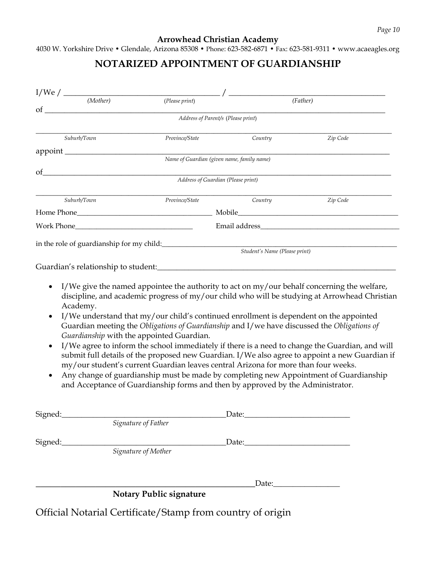4030 W. Yorkshire Drive • Glendale, Arizona 85308 • Phone: 623-582-6871 • Fax: 623-581-9311 • www.acaeagles.org

# **NOTARIZED APPOINTMENT OF GUARDIANSHIP**

| $\overline{(Mother)}$                                                      | <u> 1980 - John Harry Harry Harry Harry Harry Harry Harry Harry Harry Harry Harry Harry Harry Harry Harry Harry H</u>                                                                                                                                                                                                                                                                                                                                   |         |                                                                                                                                                                                                 |
|----------------------------------------------------------------------------|---------------------------------------------------------------------------------------------------------------------------------------------------------------------------------------------------------------------------------------------------------------------------------------------------------------------------------------------------------------------------------------------------------------------------------------------------------|---------|-------------------------------------------------------------------------------------------------------------------------------------------------------------------------------------------------|
|                                                                            | (Please print)                                                                                                                                                                                                                                                                                                                                                                                                                                          |         | (Father)                                                                                                                                                                                        |
| οf                                                                         | Address of Parent/s (Please print)                                                                                                                                                                                                                                                                                                                                                                                                                      |         |                                                                                                                                                                                                 |
|                                                                            |                                                                                                                                                                                                                                                                                                                                                                                                                                                         |         |                                                                                                                                                                                                 |
| Suburb/Town                                                                | Province/State                                                                                                                                                                                                                                                                                                                                                                                                                                          | Country | Zip Code                                                                                                                                                                                        |
|                                                                            | Name of Guardian (given name, family name)                                                                                                                                                                                                                                                                                                                                                                                                              |         |                                                                                                                                                                                                 |
| $\circ$ of $\qquad \qquad$                                                 |                                                                                                                                                                                                                                                                                                                                                                                                                                                         |         |                                                                                                                                                                                                 |
|                                                                            | Address of Guardian (Please print)                                                                                                                                                                                                                                                                                                                                                                                                                      |         |                                                                                                                                                                                                 |
| Suburb/Town                                                                | Province/State                                                                                                                                                                                                                                                                                                                                                                                                                                          | Country | Zip Code                                                                                                                                                                                        |
|                                                                            |                                                                                                                                                                                                                                                                                                                                                                                                                                                         |         |                                                                                                                                                                                                 |
|                                                                            |                                                                                                                                                                                                                                                                                                                                                                                                                                                         |         |                                                                                                                                                                                                 |
|                                                                            |                                                                                                                                                                                                                                                                                                                                                                                                                                                         |         |                                                                                                                                                                                                 |
| in the role of guardianship for my child:<br>Student's Name (Please print) |                                                                                                                                                                                                                                                                                                                                                                                                                                                         |         |                                                                                                                                                                                                 |
|                                                                            | I/We give the named appointee the authority to act on $my/our$ behalf concerning the welfare,                                                                                                                                                                                                                                                                                                                                                           |         |                                                                                                                                                                                                 |
| Academy.<br>Guardianship with the appointed Guardian.                      | I/We understand that my/our child's continued enrollment is dependent on the appointed<br>Guardian meeting the Obligations of Guardianship and I/we have discussed the Obligations of<br>my/our student's current Guardian leaves central Arizona for more than four weeks.<br>Any change of guardianship must be made by completing new Appointment of Guardianship<br>and Acceptance of Guardianship forms and then by approved by the Administrator. |         |                                                                                                                                                                                                 |
|                                                                            | Signature of Father                                                                                                                                                                                                                                                                                                                                                                                                                                     |         | I/We agree to inform the school immediately if there is a need to change the Guardian, and will                                                                                                 |
| Signed:<br>Signed:                                                         | Signature of Mother                                                                                                                                                                                                                                                                                                                                                                                                                                     |         | discipline, and academic progress of my/our child who will be studying at Arrowhead Christian<br>submit full details of the proposed new Guardian. I/We also agree to appoint a new Guardian if |

**Notary Public signature** 

\_\_\_\_\_\_\_\_\_\_\_\_\_\_\_\_\_\_\_\_\_\_\_\_\_\_\_\_\_\_\_\_\_\_\_\_\_\_\_\_\_\_\_\_Date:\_\_\_\_\_\_\_\_\_\_\_\_\_\_\_\_\_

Official Notarial Certificate/Stamp from country of origin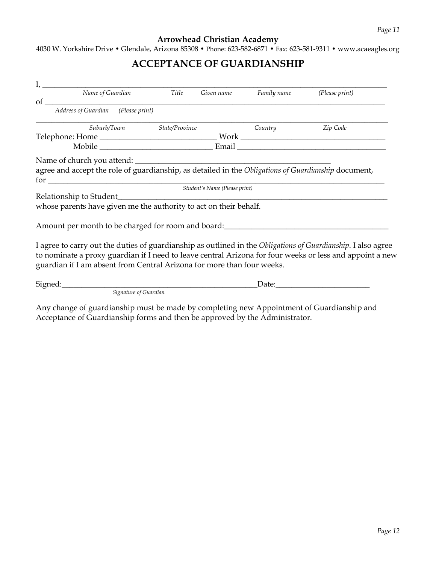4030 W. Yorkshire Drive • Glendale, Arizona 85308 • Phone: 623-582-6871 • Fax: 623-581-9311 • www.acaeagles.org

# **ACCEPTANCE OF GUARDIANSHIP**

| $I, \underline{\hspace{2cm}}$                                                                                     |                       |                |                               |             |                                                                                                                                                                                                                          |
|-------------------------------------------------------------------------------------------------------------------|-----------------------|----------------|-------------------------------|-------------|--------------------------------------------------------------------------------------------------------------------------------------------------------------------------------------------------------------------------|
|                                                                                                                   | Name of Guardian      | Title          | Given name                    | Family name | (Please print)                                                                                                                                                                                                           |
|                                                                                                                   |                       |                |                               |             |                                                                                                                                                                                                                          |
|                                                                                                                   | Suburb/Town           | State/Province |                               | Country     | Zip Code                                                                                                                                                                                                                 |
|                                                                                                                   |                       |                |                               |             |                                                                                                                                                                                                                          |
|                                                                                                                   |                       |                |                               |             |                                                                                                                                                                                                                          |
| Name of church you attend:                                                                                        |                       |                |                               |             |                                                                                                                                                                                                                          |
| agree and accept the role of guardianship, as detailed in the Obligations of Guardianship document,<br>$for \_\_$ |                       |                |                               |             |                                                                                                                                                                                                                          |
|                                                                                                                   |                       |                | Student's Name (Please print) |             |                                                                                                                                                                                                                          |
|                                                                                                                   |                       |                |                               |             |                                                                                                                                                                                                                          |
| whose parents have given me the authority to act on their behalf.                                                 |                       |                |                               |             |                                                                                                                                                                                                                          |
|                                                                                                                   |                       |                |                               |             |                                                                                                                                                                                                                          |
| Amount per month to be charged for room and board: ______________________________                                 |                       |                |                               |             |                                                                                                                                                                                                                          |
| guardian if I am absent from Central Arizona for more than four weeks.                                            |                       |                |                               |             | I agree to carry out the duties of guardianship as outlined in the Obligations of Guardianship. I also agree<br>to nominate a proxy guardian if I need to leave central Arizona for four weeks or less and appoint a new |
|                                                                                                                   |                       |                |                               |             |                                                                                                                                                                                                                          |
|                                                                                                                   | Signature of Guardian |                |                               |             |                                                                                                                                                                                                                          |
|                                                                                                                   |                       |                |                               |             |                                                                                                                                                                                                                          |

Any change of guardianship must be made by completing new Appointment of Guardianship and Acceptance of Guardianship forms and then be approved by the Administrator.